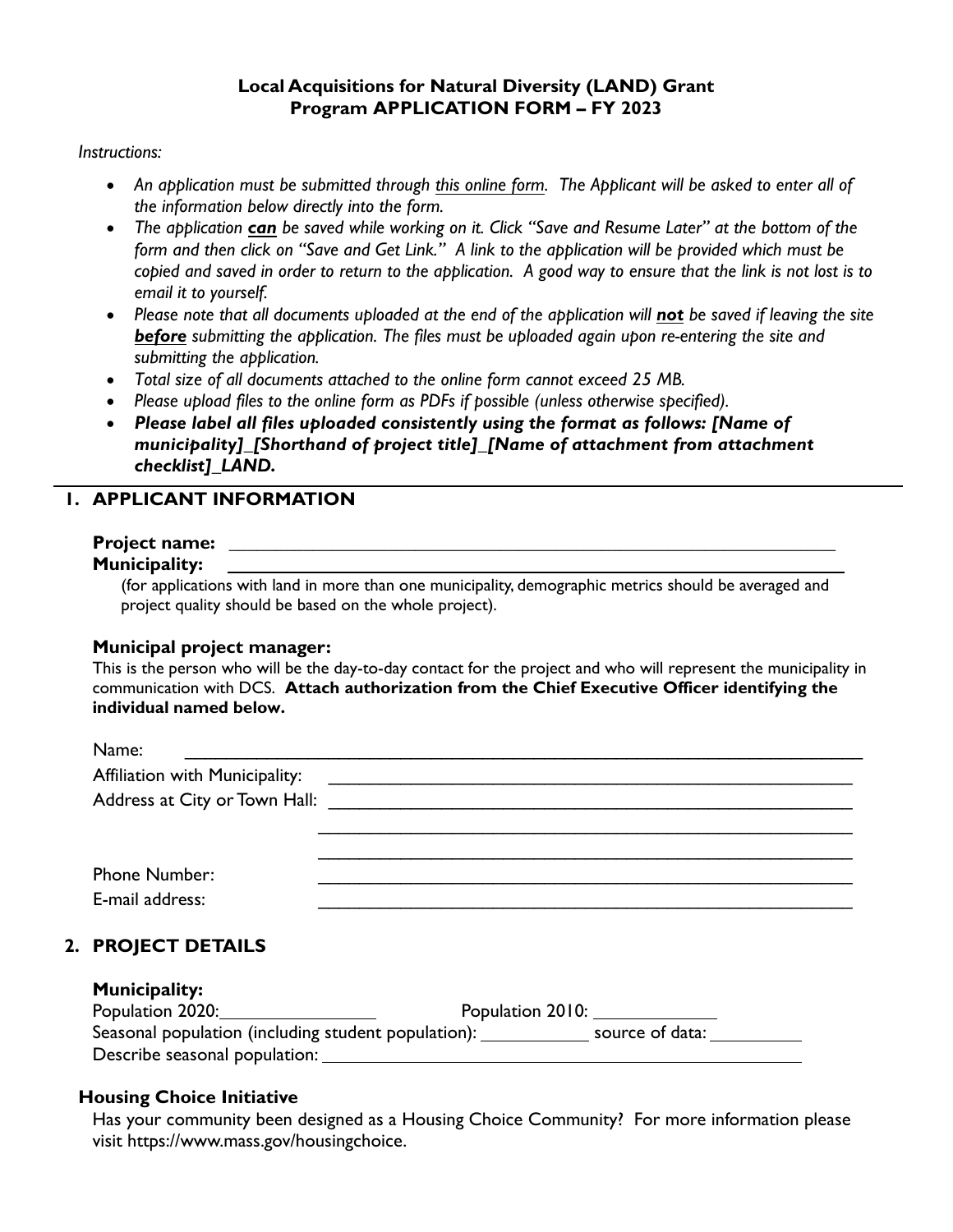#### **Local Acquisitions for Natural Diversity (LAND) Grant Program APPLICATION FORM – FY 2023**

#### *Instructions:*

- *An application must be submitted through [this online form](https://www.mass.gov/forms/local-acquisitions-for-natural-diversity-land-grant-program-application-form-fy-2023). The Applicant will be asked to enter all of the information below directly into the form.*
- *The application can be saved while working on it. Click "Save and Resume Later" at the bottom of the form and then click on "Save and Get Link." A link to the application will be provided which must be copied and saved in order to return to the application. A good way to ensure that the link is not lost is to email it to yourself.*
- *Please note that all documents uploaded at the end of the application will not be saved if leaving the site before submitting the application. The files must be uploaded again upon re-entering the site and submitting the application.*
- *Total size of all documents attached to the online form cannot exceed 25 MB.*
- *Please upload files to the online form as PDFs if possible (unless otherwise specified).*
- *Please label all files uploaded consistently using the format as follows: [Name of municipality]\_[Shorthand of project title]\_[Name of attachment from attachment checklist]\_LAND.*

# **1. APPLICANT INFORMATION**

# **Project name: \_\_\_\_\_\_\_\_\_\_\_\_\_\_\_\_\_\_\_\_\_\_\_\_\_\_\_\_\_\_\_\_\_\_\_\_\_\_\_\_\_\_\_\_\_\_\_\_\_\_\_\_\_\_\_\_\_\_\_\_\_\_\_\_\_**

### **Municipality:**

(for applications with land in more than one municipality, demographic metrics should be averaged and project quality should be based on the whole project).

#### **Municipal project manager:**

This is the person who will be the day-to-day contact for the project and who will represent the municipality in communication with DCS. **Attach authorization from the Chief Executive Officer identifying the individual named below.**

| Name:                          |                                                                           |
|--------------------------------|---------------------------------------------------------------------------|
| Affiliation with Municipality: |                                                                           |
|                                | Address at City or Town Hall: New York Contract to the City of Town Hall: |
|                                |                                                                           |
|                                |                                                                           |
| Phone Number:                  |                                                                           |
| E-mail address:                |                                                                           |

# **2. PROJECT DETAILS**

#### **Municipality:**

| Population 2020:                                    | Population 2010: |
|-----------------------------------------------------|------------------|
| Seasonal population (including student population): | source of data:  |
| Describe seasonal population:                       |                  |

## **Housing Choice Initiative**

Has your community been designed as a Housing Choice Community? For more information please visit https://www.mass.gov/housingchoice.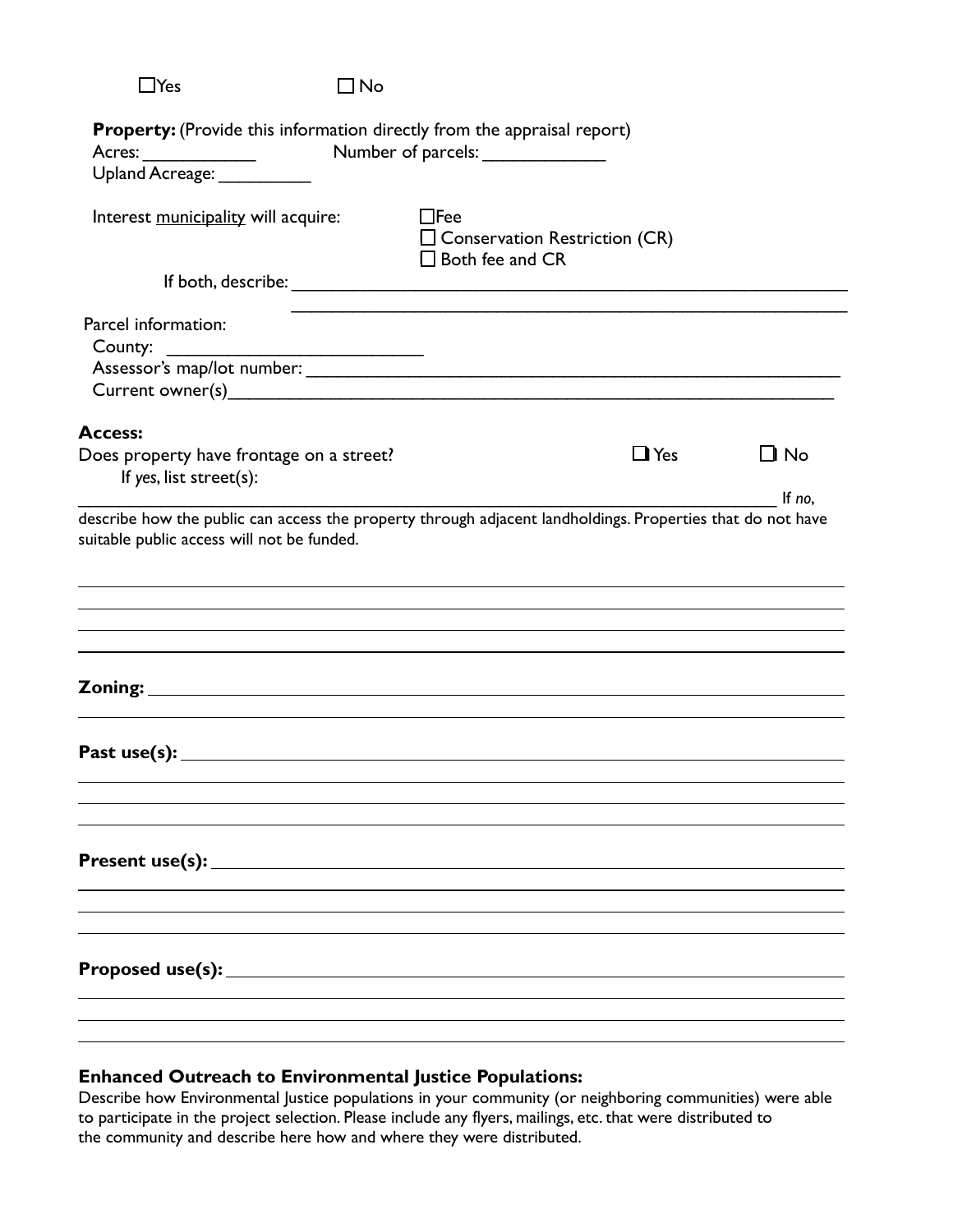|                                                                                                                                                          | $\square$ No |                                                                                 |            |                     |
|----------------------------------------------------------------------------------------------------------------------------------------------------------|--------------|---------------------------------------------------------------------------------|------------|---------------------|
| <b>Property:</b> (Provide this information directly from the appraisal report)<br>Upland Acreage: Vermanual                                              |              |                                                                                 |            |                     |
| Interest municipality will acquire:                                                                                                                      |              | $\Box$ Fee<br>$\square$ Conservation Restriction (CR)<br>$\Box$ Both fee and CR |            |                     |
|                                                                                                                                                          |              |                                                                                 |            |                     |
| Parcel information:<br>County:<br>$\mathcal{L}^{\text{max}}_{\text{max}}$ , and $\mathcal{L}^{\text{max}}_{\text{max}}$                                  |              |                                                                                 |            |                     |
| <b>Access:</b><br>Does property have frontage on a street?<br>If yes, list street(s):                                                                    |              |                                                                                 | $\Box$ Yes | $\Box$ No<br>If no, |
| describe how the public can access the property through adjacent landholdings. Properties that do not have<br>suitable public access will not be funded. |              |                                                                                 |            |                     |
|                                                                                                                                                          |              |                                                                                 |            |                     |
| Past use(s): $\qquad \qquad$                                                                                                                             |              |                                                                                 |            |                     |
|                                                                                                                                                          |              |                                                                                 |            |                     |

## **Enhanced Outreach to Environmental Justice Populations:**

Describe how Environmental Justice populations in your community (or neighboring communities) were able to participate in the project selection. Please include any flyers, mailings, etc. that were distributed to the community and describe here how and where they were distributed.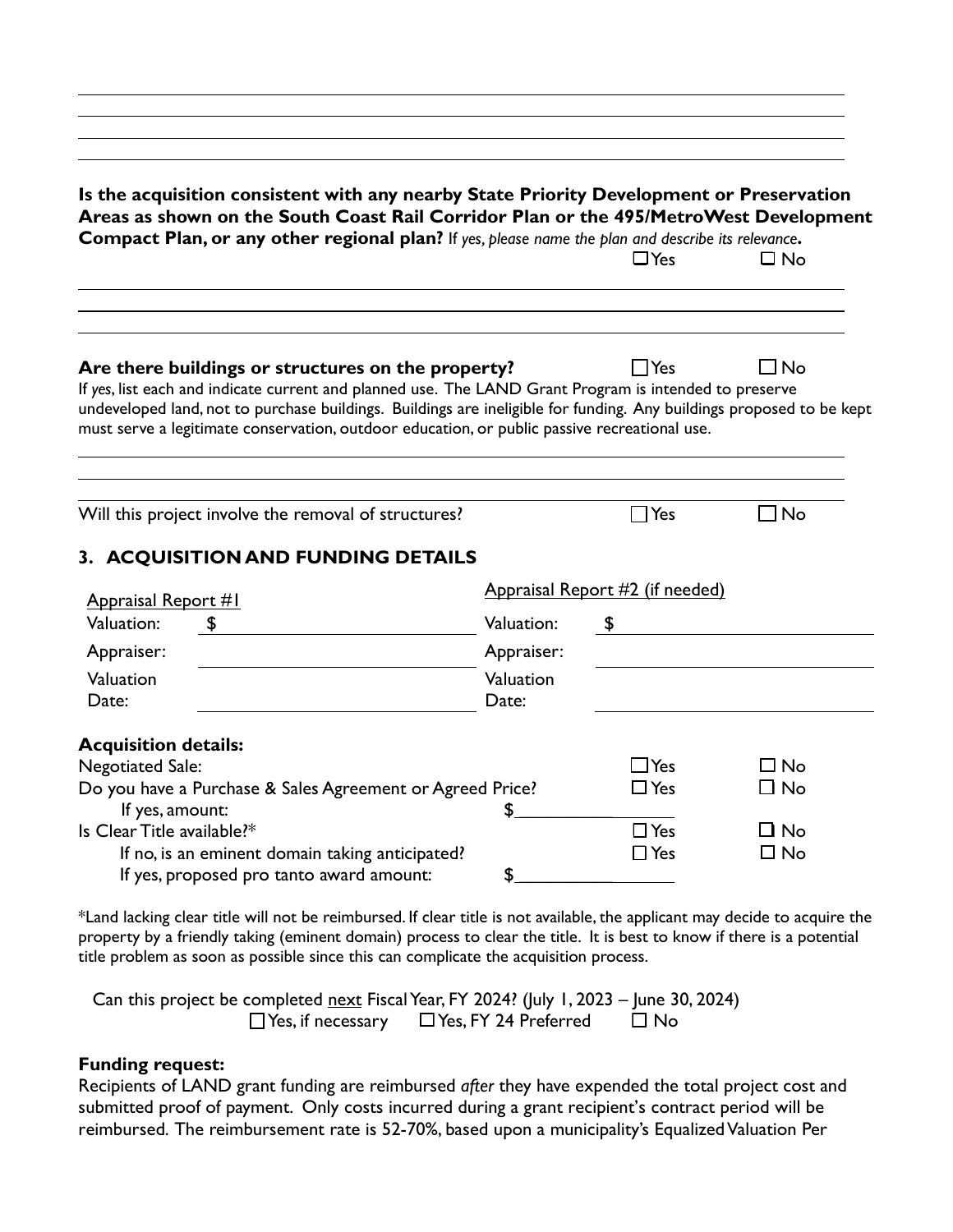| Is the acquisition consistent with any nearby State Priority Development or Preservation<br>Areas as shown on the South Coast Rail Corridor Plan or the 495/MetroWest Development<br>Compact Plan, or any other regional plan? If yes, please name the plan and describe its relevance.                                                                                              |                    | $\Box$ Yes                      | $\square$ No |
|--------------------------------------------------------------------------------------------------------------------------------------------------------------------------------------------------------------------------------------------------------------------------------------------------------------------------------------------------------------------------------------|--------------------|---------------------------------|--------------|
| Are there buildings or structures on the property?<br>If yes, list each and indicate current and planned use. The LAND Grant Program is intended to preserve<br>undeveloped land, not to purchase buildings. Buildings are ineligible for funding. Any buildings proposed to be kept<br>must serve a legitimate conservation, outdoor education, or public passive recreational use. |                    | <b>TYes</b>                     | $\Box$ No    |
| Will this project involve the removal of structures?                                                                                                                                                                                                                                                                                                                                 |                    | $\Box$ Yes                      | $\Box$ No    |
| 3. ACQUISITION AND FUNDING DETAILS<br><b>Appraisal Report #1</b>                                                                                                                                                                                                                                                                                                                     |                    | Appraisal Report #2 (if needed) |              |
| Valuation:                                                                                                                                                                                                                                                                                                                                                                           | Valuation:         | \$                              |              |
| Appraiser:                                                                                                                                                                                                                                                                                                                                                                           | Appraiser:         |                                 |              |
| Valuation<br>Date:                                                                                                                                                                                                                                                                                                                                                                   | Valuation<br>Date: |                                 |              |
| <b>Acquisition details:</b>                                                                                                                                                                                                                                                                                                                                                          |                    |                                 |              |
| <b>Negotiated Sale:</b>                                                                                                                                                                                                                                                                                                                                                              |                    | $\Box$ Yes                      | $\Box$ No    |
| Do you have a Purchase & Sales Agreement or Agreed Price?                                                                                                                                                                                                                                                                                                                            |                    | $\Box$ Yes                      | $\Box$ No    |
| If yes, amount:<br>Is Clear Title available?*                                                                                                                                                                                                                                                                                                                                        | \$                 | $\Box$ Yes                      | ∩ No         |
|                                                                                                                                                                                                                                                                                                                                                                                      |                    | $\Box$ Yes                      | $\square$ No |
| If no, is an eminent domain taking anticipated?                                                                                                                                                                                                                                                                                                                                      |                    |                                 |              |

\*Land lacking clear title will not be reimbursed. If clear title is not available, the applicant may decide to acquire the property by a friendly taking (eminent domain) process to clear the title. It is best to know if there is a potential title problem as soon as possible since this can complicate the acquisition process.

Can this project be completed next Fiscal Year, FY 2024? (July 1, 2023 – June 30, 2024)  $\Box$  Yes, if necessary  $\Box$  Yes, FY 24 Preferred  $\Box$  No

### **Funding request:**

Recipients of LAND grant funding are reimbursed *after* they have expended the total project cost and submitted proof of payment. Only costs incurred during a grant recipient's contract period will be reimbursed. The reimbursement rate is 52-70%, based upon a municipality's Equalized Valuation Per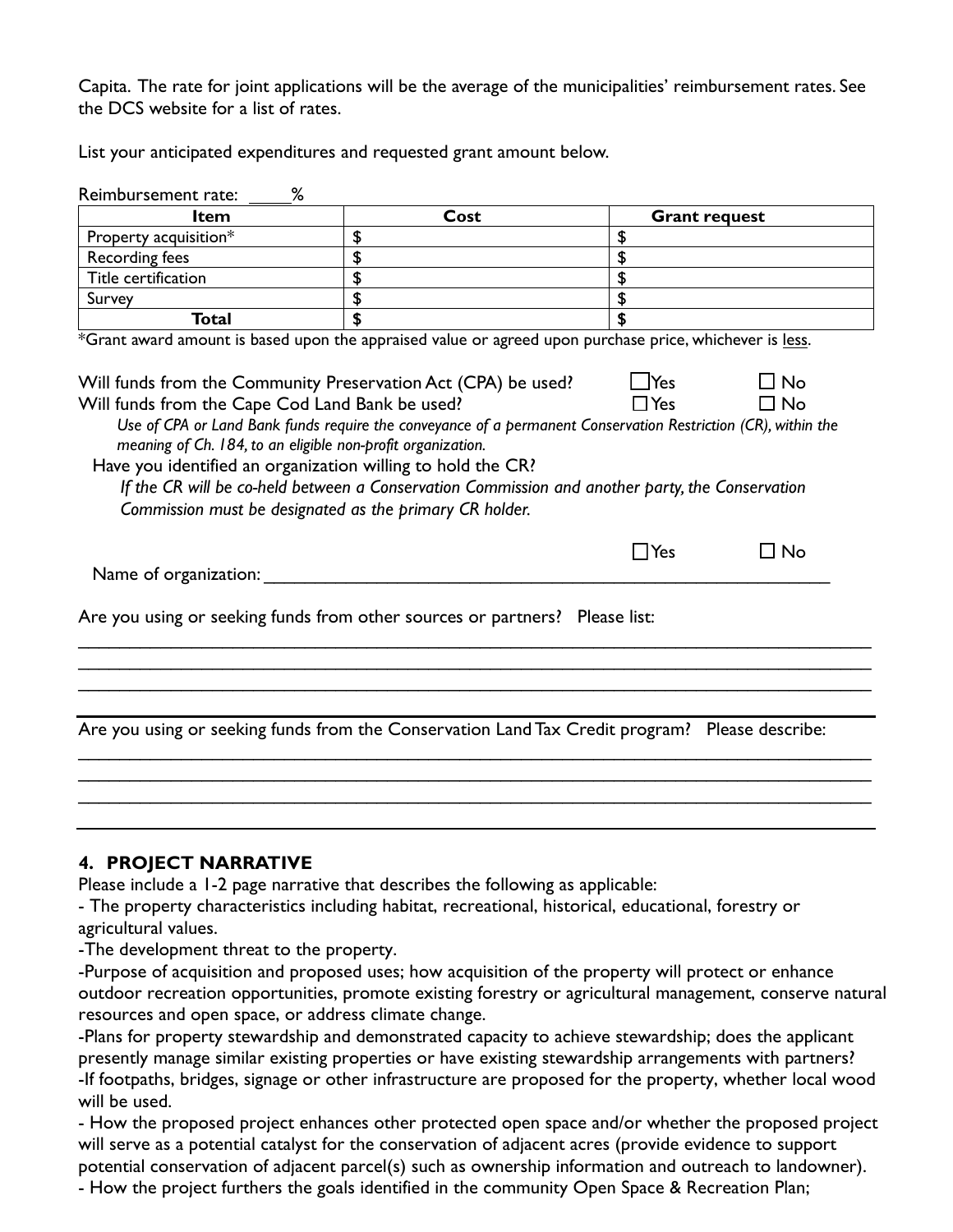Capita. The rate for joint applications will be the average of the municipalities' reimbursement rates. See the DCS website for a list of rates.

List your anticipated expenditures and requested grant amount below.

| %<br>Reimbursement rate:                                                                                                                                                                                                                                                                                                                                                                                                                                                                                                                                                                                                                                                                       |                                                                                                |                            |  |  |
|------------------------------------------------------------------------------------------------------------------------------------------------------------------------------------------------------------------------------------------------------------------------------------------------------------------------------------------------------------------------------------------------------------------------------------------------------------------------------------------------------------------------------------------------------------------------------------------------------------------------------------------------------------------------------------------------|------------------------------------------------------------------------------------------------|----------------------------|--|--|
| <b>Item</b>                                                                                                                                                                                                                                                                                                                                                                                                                                                                                                                                                                                                                                                                                    | Cost                                                                                           | <b>Grant request</b>       |  |  |
| Property acquisition*                                                                                                                                                                                                                                                                                                                                                                                                                                                                                                                                                                                                                                                                          | \$                                                                                             | \$                         |  |  |
| Recording fees                                                                                                                                                                                                                                                                                                                                                                                                                                                                                                                                                                                                                                                                                 | \$                                                                                             | \$                         |  |  |
| Title certification                                                                                                                                                                                                                                                                                                                                                                                                                                                                                                                                                                                                                                                                            | \$                                                                                             | \$                         |  |  |
| Survey                                                                                                                                                                                                                                                                                                                                                                                                                                                                                                                                                                                                                                                                                         | \$                                                                                             | \$                         |  |  |
| <b>Total</b>                                                                                                                                                                                                                                                                                                                                                                                                                                                                                                                                                                                                                                                                                   | \$                                                                                             |                            |  |  |
| *Grant award amount is based upon the appraised value or agreed upon purchase price, whichever is less.<br>$\Box$ Yes<br>$\Box$ No<br>Will funds from the Community Preservation Act (CPA) be used?<br>Will funds from the Cape Cod Land Bank be used?<br>$\Box$ Yes<br>$\Box$ No<br>Use of CPA or Land Bank funds require the conveyance of a permanent Conservation Restriction (CR), within the<br>meaning of Ch. 184, to an eligible non-profit organization.<br>Have you identified an organization willing to hold the CR?<br>If the CR will be co-held between a Conservation Commission and another party, the Conservation<br>Commission must be designated as the primary CR holder. |                                                                                                |                            |  |  |
| Name of organization:                                                                                                                                                                                                                                                                                                                                                                                                                                                                                                                                                                                                                                                                          |                                                                                                | $\square$ No<br>$\Box$ Yes |  |  |
|                                                                                                                                                                                                                                                                                                                                                                                                                                                                                                                                                                                                                                                                                                | Are you using or seeking funds from other sources or partners? Please list:                    |                            |  |  |
|                                                                                                                                                                                                                                                                                                                                                                                                                                                                                                                                                                                                                                                                                                |                                                                                                |                            |  |  |
|                                                                                                                                                                                                                                                                                                                                                                                                                                                                                                                                                                                                                                                                                                | Are you using or seeking funds from the Conservation Land Tax Credit program? Please describe: |                            |  |  |
|                                                                                                                                                                                                                                                                                                                                                                                                                                                                                                                                                                                                                                                                                                |                                                                                                |                            |  |  |
|                                                                                                                                                                                                                                                                                                                                                                                                                                                                                                                                                                                                                                                                                                |                                                                                                |                            |  |  |
|                                                                                                                                                                                                                                                                                                                                                                                                                                                                                                                                                                                                                                                                                                |                                                                                                |                            |  |  |

## **4. PROJECT NARRATIVE**

Please include a 1-2 page narrative that describes the following as applicable:

- The property characteristics including habitat, recreational, historical, educational, forestry or agricultural values.

-The development threat to the property.

-Purpose of acquisition and proposed uses; how acquisition of the property will protect or enhance outdoor recreation opportunities, promote existing forestry or agricultural management, conserve natural resources and open space, or address climate change.

-Plans for property stewardship and demonstrated capacity to achieve stewardship; does the applicant presently manage similar existing properties or have existing stewardship arrangements with partners? -If footpaths, bridges, signage or other infrastructure are proposed for the property, whether local wood will be used.

- How the proposed project enhances other protected open space and/or whether the proposed project will serve as a potential catalyst for the conservation of adjacent acres (provide evidence to support potential conservation of adjacent parcel(s) such as ownership information and outreach to landowner).

- How the project furthers the goals identified in the community Open Space & Recreation Plan;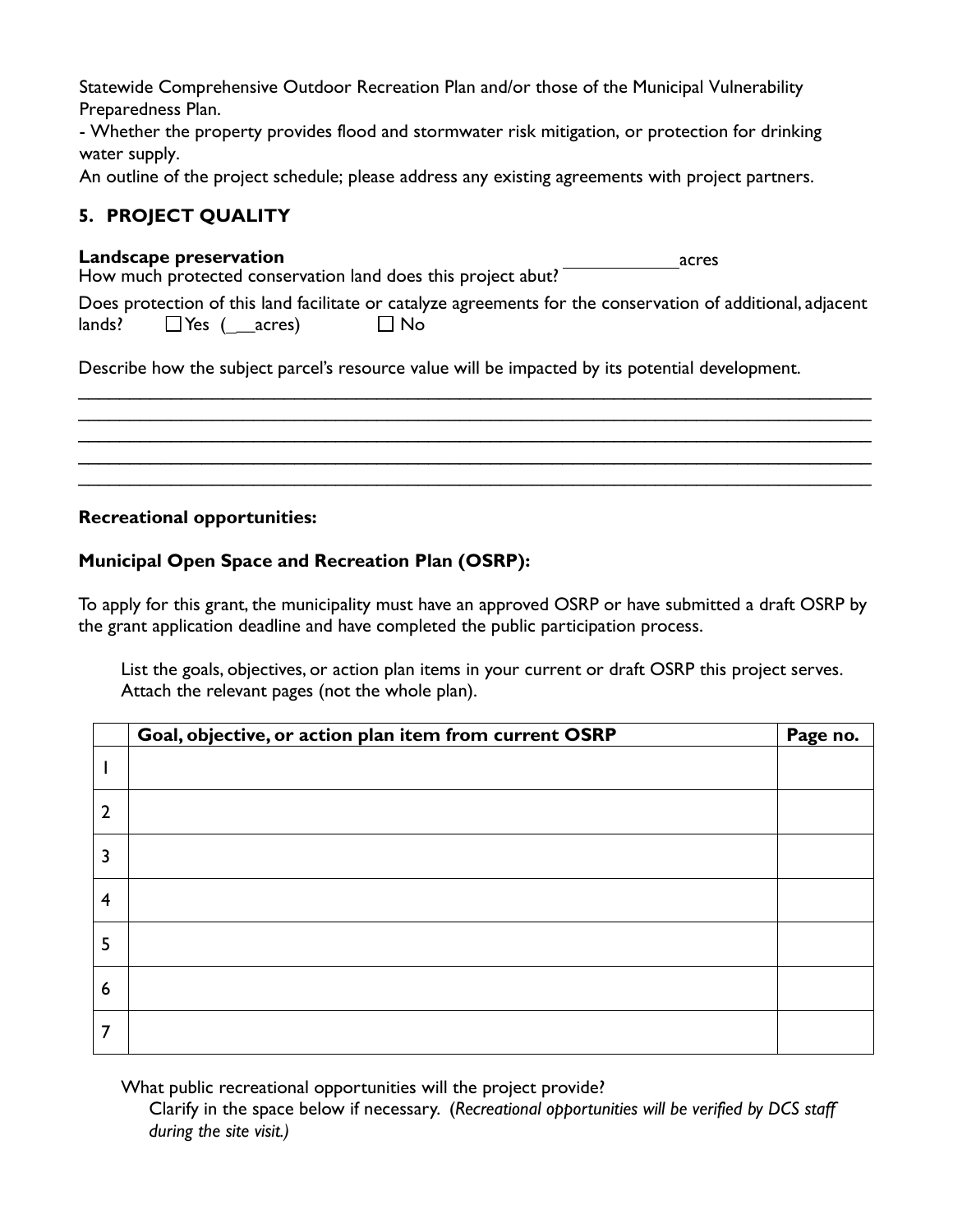Statewide Comprehensive Outdoor Recreation Plan and/or those of the Municipal Vulnerability Preparedness Plan.

- Whether the property provides flood and stormwater risk mitigation, or protection for drinking water supply.

An outline of the project schedule; please address any existing agreements with project partners.

# **5. PROJECT QUALITY**

### **Landscape preservation**

| Landscape preservation                                       | acres |
|--------------------------------------------------------------|-------|
| How much protected conservation land does this project abut? |       |

|  |           | Does protection of this land facilitate or catalyze agreements for the conservation of additional, adjacent |  |  |
|--|-----------|-------------------------------------------------------------------------------------------------------------|--|--|
|  | $\Box$ No |                                                                                                             |  |  |

\_\_\_\_\_\_\_\_\_\_\_\_\_\_\_\_\_\_\_\_\_\_\_\_\_\_\_\_\_\_\_\_\_\_\_\_\_\_\_\_\_\_\_\_\_\_\_\_\_\_\_\_\_\_\_\_\_\_\_\_\_\_\_\_\_\_\_\_\_\_\_\_\_\_\_\_\_ \_\_\_\_\_\_\_\_\_\_\_\_\_\_\_\_\_\_\_\_\_\_\_\_\_\_\_\_\_\_\_\_\_\_\_\_\_\_\_\_\_\_\_\_\_\_\_\_\_\_\_\_\_\_\_\_\_\_\_\_\_\_\_\_\_\_\_\_\_\_\_\_\_\_\_\_\_ \_\_\_\_\_\_\_\_\_\_\_\_\_\_\_\_\_\_\_\_\_\_\_\_\_\_\_\_\_\_\_\_\_\_\_\_\_\_\_\_\_\_\_\_\_\_\_\_\_\_\_\_\_\_\_\_\_\_\_\_\_\_\_\_\_\_\_\_\_\_\_\_\_\_\_\_\_ \_\_\_\_\_\_\_\_\_\_\_\_\_\_\_\_\_\_\_\_\_\_\_\_\_\_\_\_\_\_\_\_\_\_\_\_\_\_\_\_\_\_\_\_\_\_\_\_\_\_\_\_\_\_\_\_\_\_\_\_\_\_\_\_\_\_\_\_\_\_\_\_\_\_\_\_\_ \_\_\_\_\_\_\_\_\_\_\_\_\_\_\_\_\_\_\_\_\_\_\_\_\_\_\_\_\_\_\_\_\_\_\_\_\_\_\_\_\_\_\_\_\_\_\_\_\_\_\_\_\_\_\_\_\_\_\_\_\_\_\_\_\_\_\_\_\_\_\_\_\_\_\_\_\_

Describe how the subject parcel's resource value will be impacted by its potential development.

## **Recreational opportunities:**

# **Municipal Open Space and Recreation Plan (OSRP):**

To apply for this grant, the municipality must have an approved OSRP or have submitted a draft OSRP by the grant application deadline and have completed the public participation process.

List the goals, objectives, or action plan items in your current or draft OSRP this project serves. Attach the relevant pages (not the whole plan).

|                | Goal, objective, or action plan item from current OSRP | Page no. |
|----------------|--------------------------------------------------------|----------|
|                |                                                        |          |
| $\overline{2}$ |                                                        |          |
| 3              |                                                        |          |
| $\overline{4}$ |                                                        |          |
| 5              |                                                        |          |
| 6              |                                                        |          |
| 7              |                                                        |          |

What public recreational opportunities will the project provide?

Clarify in the space below if necessary. (*Recreational opportunities will be verified by DCS staff during the site visit.)*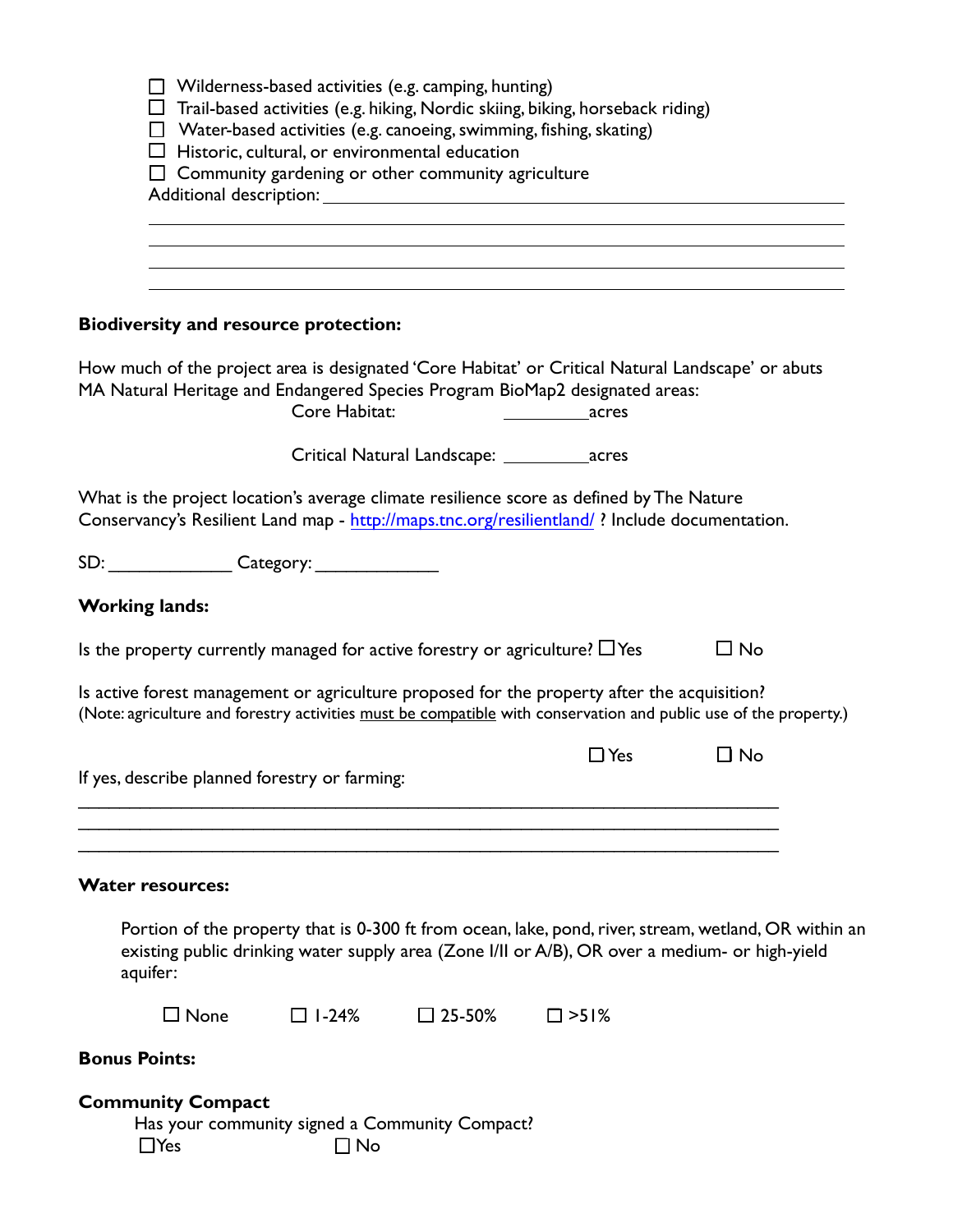|                       |                                               |               | $\Box$ Wilderness-based activities (e.g. camping, hunting)                                                                         |                                                                                                                                                                                            |                                                                                                                  |
|-----------------------|-----------------------------------------------|---------------|------------------------------------------------------------------------------------------------------------------------------------|--------------------------------------------------------------------------------------------------------------------------------------------------------------------------------------------|------------------------------------------------------------------------------------------------------------------|
|                       |                                               |               |                                                                                                                                    | $\Box$ Trail-based activities (e.g. hiking, Nordic skiing, biking, horseback riding)                                                                                                       |                                                                                                                  |
|                       |                                               |               | $\Box$ Water-based activities (e.g. canoeing, swimming, fishing, skating)<br>$\Box$ Historic, cultural, or environmental education |                                                                                                                                                                                            |                                                                                                                  |
|                       |                                               |               | $\Box$ Community gardening or other community agriculture                                                                          |                                                                                                                                                                                            |                                                                                                                  |
|                       |                                               |               |                                                                                                                                    |                                                                                                                                                                                            |                                                                                                                  |
|                       |                                               |               |                                                                                                                                    |                                                                                                                                                                                            |                                                                                                                  |
|                       |                                               |               |                                                                                                                                    |                                                                                                                                                                                            |                                                                                                                  |
|                       |                                               |               |                                                                                                                                    |                                                                                                                                                                                            |                                                                                                                  |
|                       |                                               |               |                                                                                                                                    |                                                                                                                                                                                            |                                                                                                                  |
|                       | <b>Biodiversity and resource protection:</b>  |               |                                                                                                                                    |                                                                                                                                                                                            |                                                                                                                  |
|                       |                                               |               |                                                                                                                                    | How much of the project area is designated 'Core Habitat' or Critical Natural Landscape' or abuts                                                                                          |                                                                                                                  |
|                       |                                               |               |                                                                                                                                    | MA Natural Heritage and Endangered Species Program BioMap2 designated areas:                                                                                                               |                                                                                                                  |
|                       |                                               | Core Habitat: |                                                                                                                                    |                                                                                                                                                                                            |                                                                                                                  |
|                       |                                               |               |                                                                                                                                    |                                                                                                                                                                                            |                                                                                                                  |
|                       |                                               |               |                                                                                                                                    | What is the project location's average climate resilience score as defined by The Nature<br>Conservancy's Resilient Land map - http://maps.tnc.org/resilientland/ ? Include documentation. |                                                                                                                  |
|                       |                                               |               |                                                                                                                                    |                                                                                                                                                                                            |                                                                                                                  |
| <b>Working lands:</b> |                                               |               |                                                                                                                                    |                                                                                                                                                                                            |                                                                                                                  |
|                       |                                               |               | Is the property currently managed for active forestry or agriculture? $\Box$ Yes                                                   |                                                                                                                                                                                            | $\Box$ No                                                                                                        |
|                       |                                               |               |                                                                                                                                    | Is active forest management or agriculture proposed for the property after the acquisition?                                                                                                | (Note: agriculture and forestry activities must be compatible with conservation and public use of the property.) |
|                       |                                               |               |                                                                                                                                    |                                                                                                                                                                                            |                                                                                                                  |
|                       | If yes, describe planned forestry or farming: |               |                                                                                                                                    | $\Box$ Yes                                                                                                                                                                                 | $\Box$ No                                                                                                        |
|                       |                                               |               |                                                                                                                                    |                                                                                                                                                                                            |                                                                                                                  |
|                       | <b>Water resources:</b>                       |               |                                                                                                                                    |                                                                                                                                                                                            |                                                                                                                  |
|                       |                                               |               |                                                                                                                                    |                                                                                                                                                                                            |                                                                                                                  |
| aquifer:              |                                               |               |                                                                                                                                    | existing public drinking water supply area (Zone I/II or A/B), OR over a medium- or high-yield                                                                                             | Portion of the property that is 0-300 ft from ocean, lake, pond, river, stream, wetland, OR within an            |
|                       | $\square$ None                                | $\Box$ 1-24%  | $\square$ 25-50%                                                                                                                   | $\square$ >51%                                                                                                                                                                             |                                                                                                                  |
|                       |                                               |               |                                                                                                                                    |                                                                                                                                                                                            |                                                                                                                  |
| <b>Bonus Points:</b>  |                                               |               |                                                                                                                                    |                                                                                                                                                                                            |                                                                                                                  |
|                       | <b>Community Compact</b>                      |               |                                                                                                                                    |                                                                                                                                                                                            |                                                                                                                  |
|                       |                                               |               | Has your community signed a Community Compact?                                                                                     |                                                                                                                                                                                            |                                                                                                                  |
|                       | $\Box$ Yes                                    | $\Box$ No     |                                                                                                                                    |                                                                                                                                                                                            |                                                                                                                  |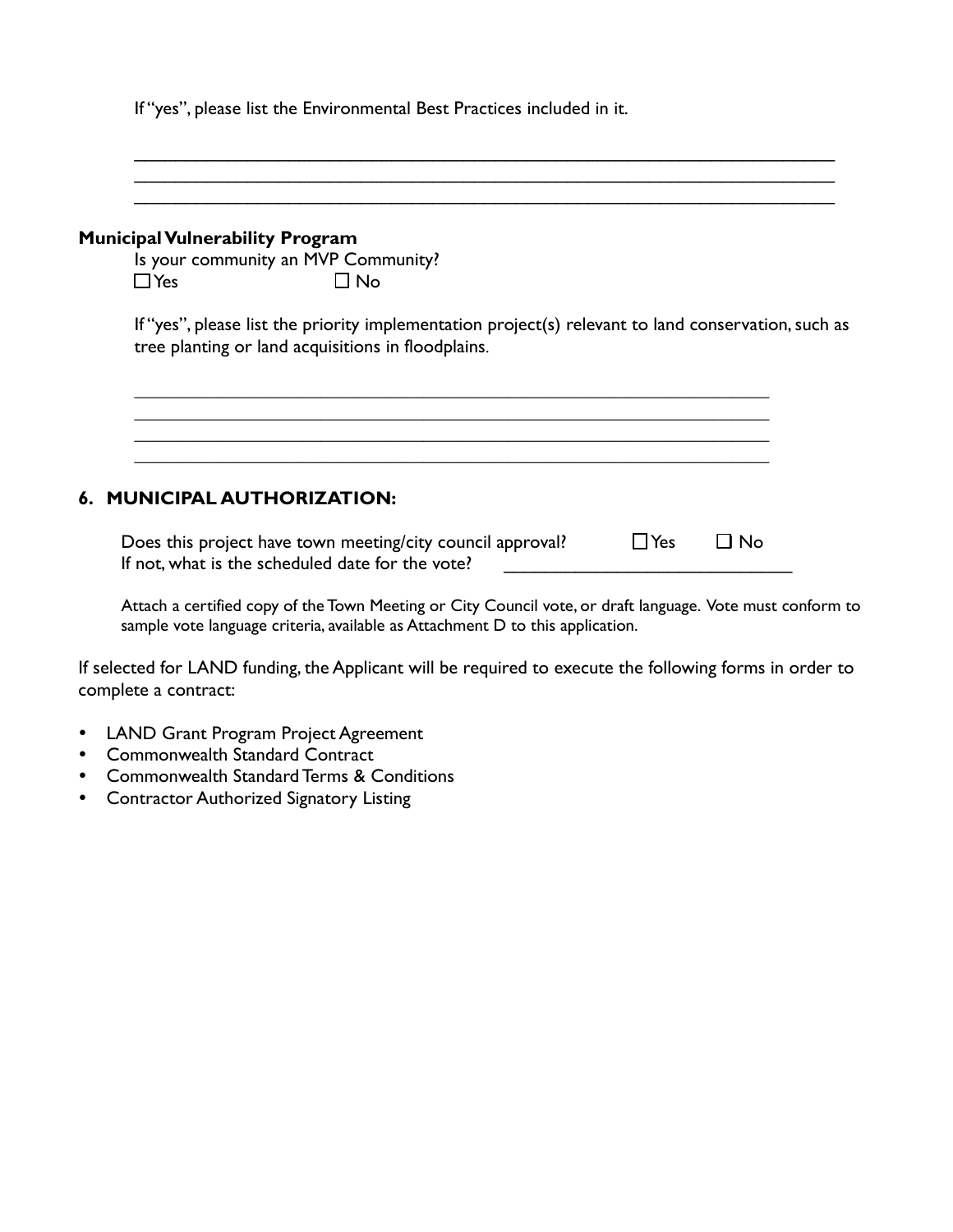If "yes", please list the Environmental Best Practices included in it.

# \_\_\_\_\_\_\_\_\_\_\_\_\_\_\_\_\_\_\_\_\_\_\_\_\_\_\_\_\_\_\_\_\_\_\_\_\_\_\_\_\_\_\_\_\_\_\_\_\_\_\_\_\_\_\_\_\_\_\_\_\_\_\_\_\_\_\_\_ **Municipal Vulnerability Program** Is your community an MVP Community?  $\Box$  Yes  $\Box$  No If "yes", please list the priority implementation project(s) relevant to land conservation, such as tree planting or land acquisitions in floodplains. **\_\_\_\_\_\_\_\_\_\_\_\_\_\_\_\_\_\_\_\_\_\_\_\_\_\_\_\_\_\_\_\_\_\_\_\_\_\_\_\_\_\_\_\_\_\_\_\_\_\_\_\_\_\_\_\_\_\_\_\_\_\_\_\_\_\_\_\_ \_\_\_\_\_\_\_\_\_\_\_\_\_\_\_\_\_\_\_\_\_\_\_\_\_\_\_\_\_\_\_\_\_\_\_\_\_\_\_\_\_\_\_\_\_\_\_\_\_\_\_\_\_\_\_\_\_\_\_\_\_\_\_\_\_\_\_\_ 6. MUNICIPAL AUTHORIZATION:**

\_\_\_\_\_\_\_\_\_\_\_\_\_\_\_\_\_\_\_\_\_\_\_\_\_\_\_\_\_\_\_\_\_\_\_\_\_\_\_\_\_\_\_\_\_\_\_\_\_\_\_\_\_\_\_\_\_\_\_\_\_\_\_\_\_\_\_\_ \_\_\_\_\_\_\_\_\_\_\_\_\_\_\_\_\_\_\_\_\_\_\_\_\_\_\_\_\_\_\_\_\_\_\_\_\_\_\_\_\_\_\_\_\_\_\_\_\_\_\_\_\_\_\_\_\_\_\_\_\_\_\_\_\_\_\_\_

Does this project have town meeting/city council approval?  $\Box$  Yes  $\Box$  No If not, what is the scheduled date for the vote?

Attach a certified copy of the Town Meeting or City Council vote, or draft language. Vote must conform to sample vote language criteria, available as Attachment D to this application.

If selected for LAND funding, the Applicant will be required to execute the following forms in order to complete a contract:

- LAND Grant Program Project Agreement
- Commonwealth Standard Contract
- Commonwealth Standard Terms & Conditions
- Contractor Authorized Signatory Listing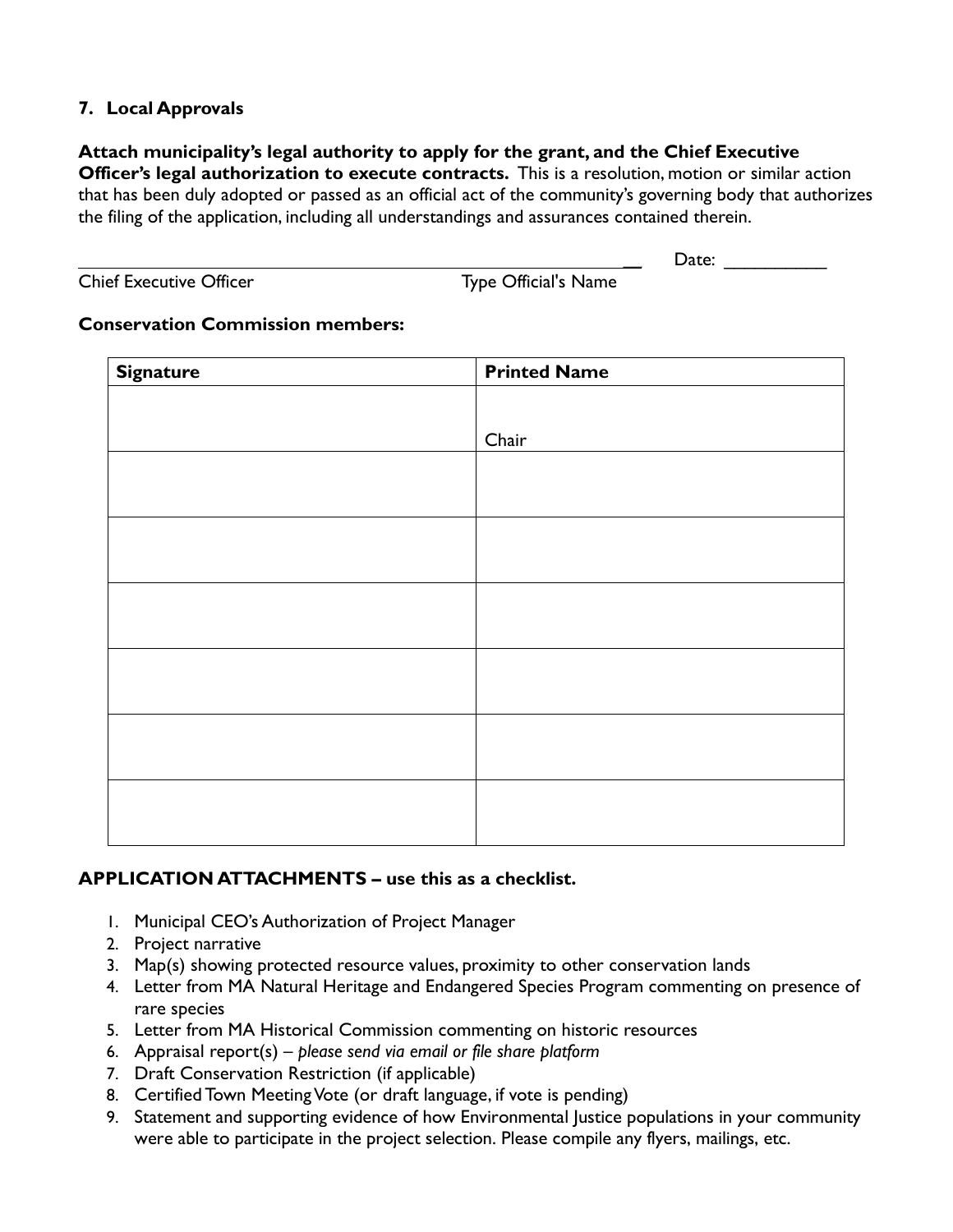# **7. Local Approvals**

# **Attach municipality's legal authority to apply for the grant, and the Chief Executive**

**Officer's legal authorization to execute contracts.** This is a resolution, motion or similar action that has been duly adopted or passed as an official act of the community's governing body that authorizes the filing of the application, including all understandings and assurances contained therein.

|  | <b>Chief Executive Officer</b> |  |
|--|--------------------------------|--|
|--|--------------------------------|--|

Type Official's Name

**\_\_** Date: \_\_\_\_\_\_\_\_\_\_

## **Conservation Commission members:**

| <b>Printed Name</b> |
|---------------------|
|                     |
| Chair               |
|                     |
|                     |
|                     |
|                     |
|                     |
|                     |
|                     |
|                     |
|                     |
|                     |
|                     |
|                     |
|                     |

## **APPLICATION ATTACHMENTS – use this as a checklist.**

- 1. Municipal CEO's Authorization of Project Manager
- 2. Project narrative
- 3. Map(s) showing protected resource values, proximity to other conservation lands
- 4. Letter from MA Natural Heritage and Endangered Species Program commenting on presence of rare species
- 5. Letter from MA Historical Commission commenting on historic resources
- 6. Appraisal report(s) *please send via email or file share platform*
- 7. Draft Conservation Restriction (if applicable)
- 8. Certified Town Meeting Vote (or draft language, if vote is pending)
- 9. Statement and supporting evidence of how Environmental Justice populations in your community were able to participate in the project selection. Please compile any flyers, mailings, etc.